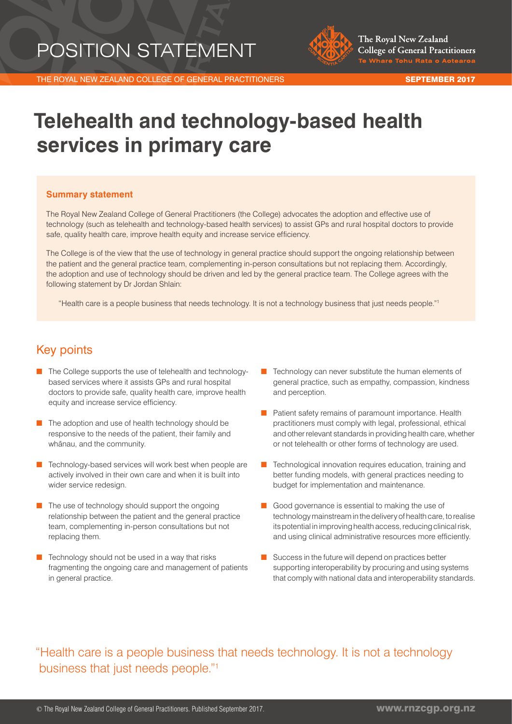# POSITION STATEMENT



THE ROYAL NEW ZEALAND COLLEGE OF GENERAL PRACTITIONERS SEPTEMBER 2017

# **Telehealth and technology-based health services in primary care**

#### **Summary statement**

The Royal New Zealand College of General Practitioners (the College) advocates the adoption and effective use of technology (such as telehealth and technology-based health services) to assist GPs and rural hospital doctors to provide safe, quality health care, improve health equity and increase service efficiency.

The College is of the view that the use of technology in general practice should support the ongoing relationship between the patient and the general practice team, complementing in-person consultations but not replacing them. Accordingly, the adoption and use of technology should be driven and led by the general practice team. The College agrees with the following statement by Dr Jordan Shlain:

"Health care is a people business that needs technology. It is not a technology business that just needs people."1

# Key points

- The College supports the use of telehealth and technologybased services where it assists GPs and rural hospital doctors to provide safe, quality health care, improve health equity and increase service efficiency.
- The adoption and use of health technology should be responsive to the needs of the patient, their family and whānau, and the community.
- Technology-based services will work best when people are actively involved in their own care and when it is built into wider service redesign.
- The use of technology should support the ongoing relationship between the patient and the general practice team, complementing in-person consultations but not replacing them.
- Technology should not be used in a way that risks fragmenting the ongoing care and management of patients in general practice.
- Technology can never substitute the human elements of general practice, such as empathy, compassion, kindness and perception.
- Patient safety remains of paramount importance. Health practitioners must comply with legal, professional, ethical and other relevant standards in providing health care, whether or not telehealth or other forms of technology are used.
- Technological innovation requires education, training and better funding models, with general practices needing to budget for implementation and maintenance.
- Good governance is essential to making the use of technology mainstream in the delivery of health care, to realise its potential in improving health access, reducing clinical risk, and using clinical administrative resources more efficiently.
- Success in the future will depend on practices better supporting interoperability by procuring and using systems that comply with national data and interoperability standards.

"Health care is a people business that needs technology. It is not a technology business that just needs people."1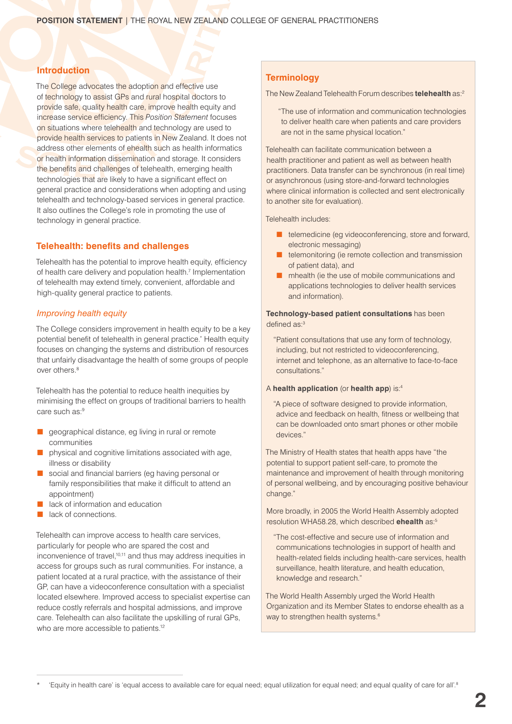# **Introduction**

The College advocates the adoption and effective use of technology to assist GPs and rural hospital doctors to provide safe, quality health care, improve health equity and increase service efficiency. This *Position Statement* focuses on situations where telehealth and technology are used to provide health services to patients in New Zealand. It does not address other elements of ehealth such as health informatics or health information dissemination and storage. It considers the benefits and challenges of telehealth, emerging health technologies that are likely to have a significant effect on general practice and considerations when adopting and using telehealth and technology-based services in general practice. It also outlines the College's role in promoting the use of technology in general practice.

# **Telehealth: benefits and challenges**

Telehealth has the potential to improve health equity, efficiency of health care delivery and population health.<sup>7</sup> Implementation of telehealth may extend timely, convenient, affordable and high-quality general practice to patients.

#### *Improving health equity*

The College considers improvement in health equity to be a key potential benefit of telehealth in general practice.\* Health equity focuses on changing the systems and distribution of resources that unfairly disadvantage the health of some groups of people over others.8

Telehealth has the potential to reduce health inequities by minimising the effect on groups of traditional barriers to health care such as:9

- geographical distance, eg living in rural or remote communities
- physical and cognitive limitations associated with age, illness or disability
- social and financial barriers (eg having personal or family responsibilities that make it difficult to attend an appointment)
- lack of information and education
- lack of connections.

Telehealth can improve access to health care services, particularly for people who are spared the cost and inconvenience of travel,<sup>10,11</sup> and thus may address inequities in access for groups such as rural communities. For instance, a patient located at a rural practice, with the assistance of their GP, can have a videoconference consultation with a specialist located elsewhere. Improved access to specialist expertise can reduce costly referrals and hospital admissions, and improve care. Telehealth can also facilitate the upskilling of rural GPs, who are more accessible to patients.<sup>12</sup>

# **Terminology**

The New Zealand Telehealth Forum describes **telehealth** as:2

"The use of information and communication technologies to deliver health care when patients and care providers are not in the same physical location."

Telehealth can facilitate communication between a health practitioner and patient as well as between health practitioners. Data transfer can be synchronous (in real time) or asynchronous (using store-and-forward technologies where clinical information is collected and sent electronically to another site for evaluation).

Telehealth includes:

- telemedicine (eg videoconferencing, store and forward, electronic messaging)
- telemonitoring (ie remote collection and transmission of patient data), and
- mhealth (ie the use of mobile communications and applications technologies to deliver health services and information).

#### **Technology-based patient consultations** has been defined as:3

"Patient consultations that use any form of technology, including, but not restricted to videoconferencing, internet and telephone, as an alternative to face-to-face consultations."

#### A **health application** (or **health app**) is:4

"A piece of software designed to provide information, advice and feedback on health, fitness or wellbeing that can be downloaded onto smart phones or other mobile devices."

The Ministry of Health states that health apps have "the potential to support patient self-care, to promote the maintenance and improvement of health through monitoring of personal wellbeing, and by encouraging positive behaviour change."

More broadly, in 2005 the World Health Assembly adopted resolution WHA58.28, which described **ehealth** as:5

"The cost-effective and secure use of information and communications technologies in support of health and health-related fields including health-care services, health surveillance, health literature, and health education, knowledge and research."

The World Health Assembly urged the World Health Organization and its Member States to endorse ehealth as a way to strengthen health systems.<sup>6</sup>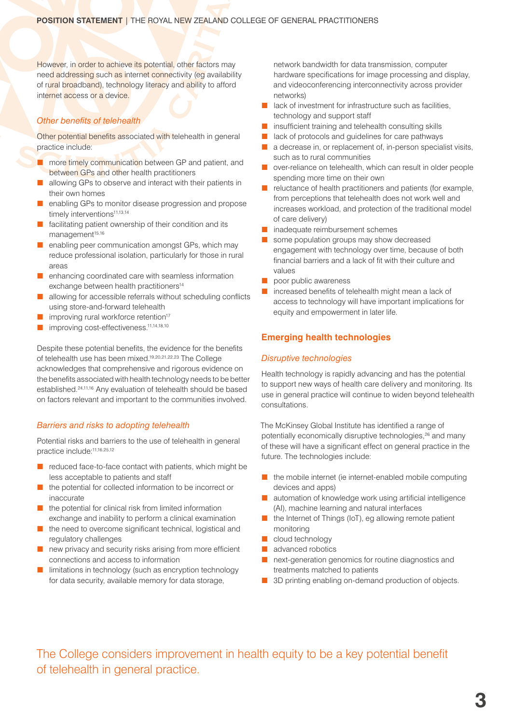However, in order to achieve its potential, other factors may need addressing such as internet connectivity (eg availability of rural broadband), technology literacy and ability to afford internet access or a device.

# *Other benefits of telehealth*

Other potential benefits associated with telehealth in general practice include:

- more timely communication between GP and patient, and between GPs and other health practitioners
- allowing GPs to observe and interact with their patients in their own homes
- enabling GPs to monitor disease progression and propose timely interventions<sup>11,13,14</sup>
- facilitating patient ownership of their condition and its management<sup>15,16</sup>
- enabling peer communication amongst GPs, which may reduce professional isolation, particularly for those in rural areas
- enhancing coordinated care with seamless information exchange between health practitioners<sup>14</sup>
- allowing for accessible referrals without scheduling conflicts using store-and-forward telehealth
- improving rural workforce retention<sup>17</sup>
- improving cost-effectiveness.<sup>11,14,18,10</sup>

Despite these potential benefits, the evidence for the benefits of telehealth use has been mixed.19,20,21,22,23 The College acknowledges that comprehensive and rigorous evidence on the benefits associated with health technology needs to be better established.24,11,16 Any evaluation of telehealth should be based on factors relevant and important to the communities involved.

#### *Barriers and risks to adopting telehealth*

Potential risks and barriers to the use of telehealth in general practice include:11,16,25,12

- reduced face-to-face contact with patients, which might be less acceptable to patients and staff
- the potential for collected information to be incorrect or inaccurate
- the potential for clinical risk from limited information exchange and inability to perform a clinical examination
- the need to overcome significant technical, logistical and regulatory challenges
- new privacy and security risks arising from more efficient connections and access to information
- limitations in technology (such as encryption technology for data security, available memory for data storage,

network bandwidth for data transmission, computer hardware specifications for image processing and display, and videoconferencing interconnectivity across provider networks)

- lack of investment for infrastructure such as facilities, technology and support staff
- insufficient training and telehealth consulting skills
- lack of protocols and guidelines for care pathways
- a decrease in, or replacement of, in-person specialist visits, such as to rural communities
- over-reliance on telehealth, which can result in older people spending more time on their own
- reluctance of health practitioners and patients (for example, from perceptions that telehealth does not work well and increases workload, and protection of the traditional model of care delivery)
- inadequate reimbursement schemes
- some population groups may show decreased engagement with technology over time, because of both financial barriers and a lack of fit with their culture and values
- poor public awareness
- increased benefits of telehealth might mean a lack of access to technology will have important implications for equity and empowerment in later life.

# **Emerging health technologies**

#### *Disruptive technologies*

Health technology is rapidly advancing and has the potential to support new ways of health care delivery and monitoring. Its use in general practice will continue to widen beyond telehealth consultations.

The McKinsey Global Institute has identified a range of potentially economically disruptive technologies,<sup>26</sup> and many of these will have a significant effect on general practice in the future. The technologies include:

- the mobile internet (ie internet-enabled mobile computing devices and apps)
- automation of knowledge work using artificial intelligence (AI), machine learning and natural interfaces
- the Internet of Things (IoT), eg allowing remote patient monitoring
- cloud technology
- advanced robotics
- next-generation genomics for routine diagnostics and treatments matched to patients
- 3D printing enabling on-demand production of objects.

The College considers improvement in health equity to be a key potential benefit of telehealth in general practice.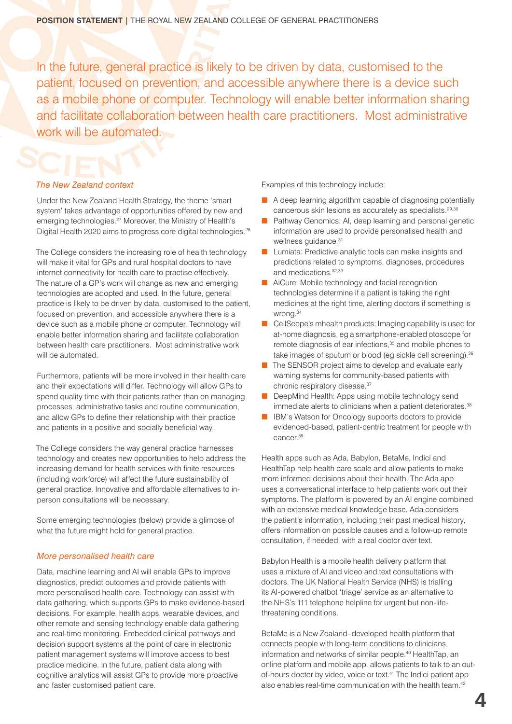In the future, general practice is likely to be driven by data, customised to the patient, focused on prevention, and accessible anywhere there is a device such as a mobile phone or computer. Technology will enable better information sharing and facilitate collaboration between health care practitioners. Most administrative work will be automated.

# *The New Zealand context*

Under the New Zealand Health Strategy, the theme 'smart system' takes advantage of opportunities offered by new and emerging technologies.27 Moreover, the Ministry of Health's Digital Health 2020 aims to progress core digital technologies.<sup>28</sup>

The College considers the increasing role of health technology will make it vital for GPs and rural hospital doctors to have internet connectivity for health care to practise effectively. The nature of a GP's work will change as new and emerging technologies are adopted and used. In the future, general practice is likely to be driven by data, customised to the patient, focused on prevention, and accessible anywhere there is a device such as a mobile phone or computer. Technology will enable better information sharing and facilitate collaboration between health care practitioners. Most administrative work will be automated.

Furthermore, patients will be more involved in their health care and their expectations will differ. Technology will allow GPs to spend quality time with their patients rather than on managing processes, administrative tasks and routine communication, and allow GPs to define their relationship with their practice and patients in a positive and socially beneficial way.

The College considers the way general practice harnesses technology and creates new opportunities to help address the increasing demand for health services with finite resources (including workforce) will affect the future sustainability of general practice. Innovative and affordable alternatives to inperson consultations will be necessary.

Some emerging technologies (below) provide a glimpse of what the future might hold for general practice.

#### *More personalised health care*

Data, machine learning and AI will enable GPs to improve diagnostics, predict outcomes and provide patients with more personalised health care. Technology can assist with data gathering, which supports GPs to make evidence-based decisions. For example, health apps, wearable devices, and other remote and sensing technology enable data gathering and real-time monitoring. Embedded clinical pathways and decision support systems at the point of care in electronic patient management systems will improve access to best practice medicine. In the future, patient data along with cognitive analytics will assist GPs to provide more proactive and faster customised patient care.

Examples of this technology include:

- A deep learning algorithm capable of diagnosing potentially cancerous skin lesions as accurately as specialists.29,30
- Pathway Genomics: AI, deep learning and personal genetic information are used to provide personalised health and wellness quidance.<sup>31</sup>
- Lumiata: Predictive analytic tools can make insights and predictions related to symptoms, diagnoses, procedures and medications.32,33
- AiCure: Mobile technology and facial recognition technologies determine if a patient is taking the right medicines at the right time, alerting doctors if something is wrong.34
- CellScope's mhealth products: Imaging capability is used for at-home diagnosis, eg a smartphone-enabled otoscope for remote diagnosis of ear infections,<sup>35</sup> and mobile phones to take images of sputum or blood (eg sickle cell screening).<sup>36</sup>
- The SENSOR project aims to develop and evaluate early warning systems for community-based patients with chronic respiratory disease.37
- DeepMind Health: Apps using mobile technology send immediate alerts to clinicians when a patient deteriorates.<sup>38</sup>
- IBM's Watson for Oncology supports doctors to provide evidenced-based, patient-centric treatment for people with cancer.39

Health apps such as Ada, Babylon, BetaMe, Indici and HealthTap help health care scale and allow patients to make more informed decisions about their health. The Ada app uses a conversational interface to help patients work out their symptoms. The platform is powered by an AI engine combined with an extensive medical knowledge base. Ada considers the patient's information, including their past medical history, offers information on possible causes and a follow-up remote consultation, if needed, with a real doctor over text.

Babylon Health is a mobile health delivery platform that uses a mixture of AI and video and text consultations with doctors. The UK National Health Service (NHS) is trialling its AI-powered chatbot 'triage' service as an alternative to the NHS's 111 telephone helpline for urgent but non-lifethreatening conditions.

BetaMe is a New Zealand–developed health platform that connects people with long-term conditions to clinicians, information and networks of similar people.40 HealthTap, an online platform and mobile app, allows patients to talk to an outof-hours doctor by video, voice or text.<sup>41</sup> The Indici patient app also enables real-time communication with the health team.42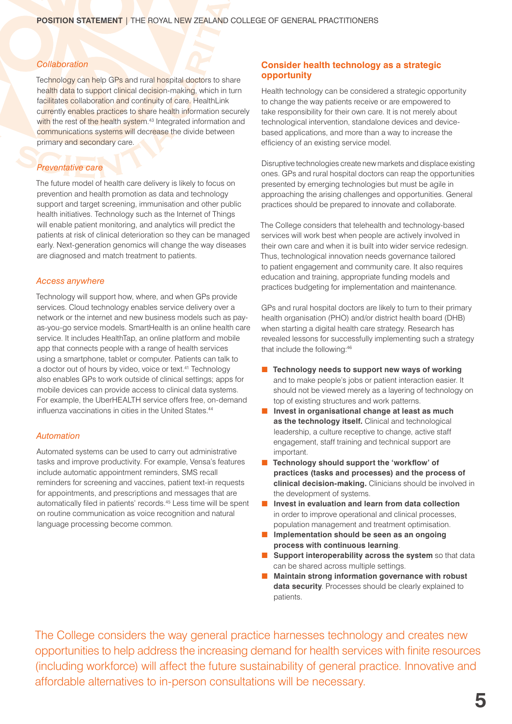#### *Collaboration*

Technology can help GPs and rural hospital doctors to share health data to support clinical decision-making, which in turn facilitates collaboration and continuity of care. HealthLink currently enables practices to share health information securely with the rest of the health system.<sup>43</sup> Integrated information and communications systems will decrease the divide between primary and secondary care.

# *Preventative care*

The future model of health care delivery is likely to focus on prevention and health promotion as data and technology support and target screening, immunisation and other public health initiatives. Technology such as the Internet of Things will enable patient monitoring, and analytics will predict the patients at risk of clinical deterioration so they can be managed early. Next-generation genomics will change the way diseases are diagnosed and match treatment to patients.

#### *Access anywhere*

Technology will support how, where, and when GPs provide services. Cloud technology enables service delivery over a network or the internet and new business models such as payas-you-go service models. SmartHealth is an online health care service. It includes HealthTap, an online platform and mobile app that connects people with a range of health services using a smartphone, tablet or computer. Patients can talk to a doctor out of hours by video, voice or text.<sup>41</sup> Technology also enables GPs to work outside of clinical settings; apps for mobile devices can provide access to clinical data systems. For example, the UberHEALTH service offers free, on-demand influenza vaccinations in cities in the United States.<sup>44</sup>

#### *Automation*

Automated systems can be used to carry out administrative tasks and improve productivity. For example, Vensa's features include automatic appointment reminders, SMS recall reminders for screening and vaccines, patient text-in requests for appointments, and prescriptions and messages that are automatically filed in patients' records.45 Less time will be spent on routine communication as voice recognition and natural language processing become common.

# **Consider health technology as a strategic opportunity**

Health technology can be considered a strategic opportunity to change the way patients receive or are empowered to take responsibility for their own care. It is not merely about technological intervention, standalone devices and devicebased applications, and more than a way to increase the efficiency of an existing service model.

Disruptive technologies create new markets and displace existing ones. GPs and rural hospital doctors can reap the opportunities presented by emerging technologies but must be agile in approaching the arising challenges and opportunities. General practices should be prepared to innovate and collaborate.

The College considers that telehealth and technology-based services will work best when people are actively involved in their own care and when it is built into wider service redesign. Thus, technological innovation needs governance tailored to patient engagement and community care. It also requires education and training, appropriate funding models and practices budgeting for implementation and maintenance.

GPs and rural hospital doctors are likely to turn to their primary health organisation (PHO) and/or district health board (DHB) when starting a digital health care strategy. Research has revealed lessons for successfully implementing such a strategy that include the following:46

- **Technology needs to support new ways of working** and to make people's jobs or patient interaction easier. It should not be viewed merely as a layering of technology on top of existing structures and work patterns.
- Invest in organisational change at least as much **as the technology itself.** Clinical and technological leadership, a culture receptive to change, active staff engagement, staff training and technical support are important.
- Technology should support the 'workflow' of **practices (tasks and processes) and the process of clinical decision-making.** Clinicians should be involved in the development of systems.
- **Invest in evaluation and learn from data collection** in order to improve operational and clinical processes, population management and treatment optimisation.
- **Implementation should be seen as an ongoing process with continuous learning**.
- **Support interoperability across the system** so that data can be shared across multiple settings.
- **Maintain strong information governance with robust data security**. Processes should be clearly explained to patients.

The College considers the way general practice harnesses technology and creates new opportunities to help address the increasing demand for health services with finite resources (including workforce) will affect the future sustainability of general practice. Innovative and affordable alternatives to in-person consultations will be necessary.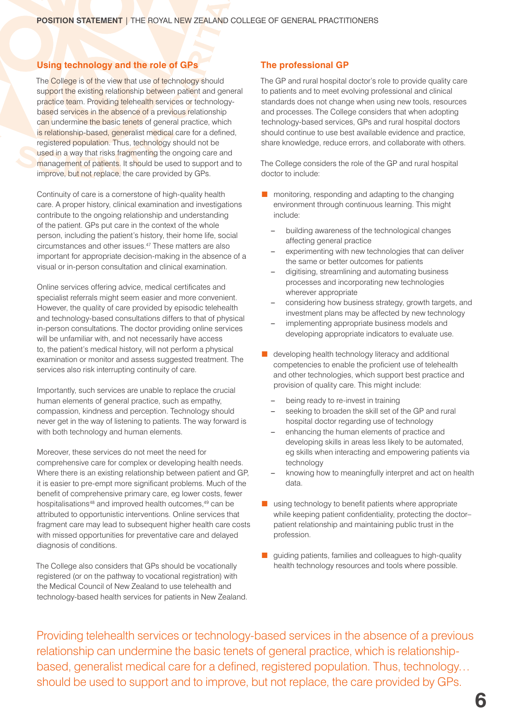# **Using technology and the role of GPs**

The College is of the view that use of technology should support the existing relationship between patient and general practice team. Providing telehealth services or technologybased services in the absence of a previous relationship can undermine the basic tenets of general practice, which is relationship-based, generalist medical care for a defined, registered population. Thus, technology should not be used in a way that risks fragmenting the ongoing care and management of patients. It should be used to support and to improve, but not replace, the care provided by GPs.

Continuity of care is a cornerstone of high-quality health care. A proper history, clinical examination and investigations contribute to the ongoing relationship and understanding of the patient. GPs put care in the context of the whole person, including the patient's history, their home life, social circumstances and other issues.47 These matters are also important for appropriate decision-making in the absence of a visual or in-person consultation and clinical examination.

Online services offering advice, medical certificates and specialist referrals might seem easier and more convenient. However, the quality of care provided by episodic telehealth and technology-based consultations differs to that of physical in-person consultations. The doctor providing online services will be unfamiliar with, and not necessarily have access to, the patient's medical history, will not perform a physical examination or monitor and assess suggested treatment. The services also risk interrupting continuity of care.

Importantly, such services are unable to replace the crucial human elements of general practice, such as empathy, compassion, kindness and perception. Technology should never get in the way of listening to patients. The way forward is with both technology and human elements.

Moreover, these services do not meet the need for comprehensive care for complex or developing health needs. Where there is an existing relationship between patient and GP, it is easier to pre-empt more significant problems. Much of the benefit of comprehensive primary care, eg lower costs, fewer hospitalisations<sup>48</sup> and improved health outcomes,<sup>49</sup> can be attributed to opportunistic interventions. Online services that fragment care may lead to subsequent higher health care costs with missed opportunities for preventative care and delayed diagnosis of conditions.

The College also considers that GPs should be vocationally registered (or on the pathway to vocational registration) with the Medical Council of New Zealand to use telehealth and technology-based health services for patients in New Zealand.

# **The professional GP**

The GP and rural hospital doctor's role to provide quality care to patients and to meet evolving professional and clinical standards does not change when using new tools, resources and processes. The College considers that when adopting technology-based services, GPs and rural hospital doctors should continue to use best available evidence and practice, share knowledge, reduce errors, and collaborate with others.

The College considers the role of the GP and rural hospital doctor to include:

- monitoring, responding and adapting to the changing environment through continuous learning. This might include:
	- building awareness of the technological changes affecting general practice
	- experimenting with new technologies that can deliver the same or better outcomes for patients
	- digitising, streamlining and automating business processes and incorporating new technologies wherever appropriate
	- considering how business strategy, growth targets, and investment plans may be affected by new technology
	- implementing appropriate business models and developing appropriate indicators to evaluate use.
- developing health technology literacy and additional competencies to enable the proficient use of telehealth and other technologies, which support best practice and provision of quality care. This might include:
	- being ready to re-invest in training
	- seeking to broaden the skill set of the GP and rural hospital doctor regarding use of technology
	- enhancing the human elements of practice and developing skills in areas less likely to be automated, eg skills when interacting and empowering patients via technology
	- knowing how to meaningfully interpret and act on health data.
- using technology to benefit patients where appropriate while keeping patient confidentiality, protecting the doctor– patient relationship and maintaining public trust in the profession.
- guiding patients, families and colleagues to high-quality health technology resources and tools where possible.

Providing telehealth services or technology-based services in the absence of a previous relationship can undermine the basic tenets of general practice, which is relationshipbased, generalist medical care for a defined, registered population. Thus, technology… should be used to support and to improve, but not replace, the care provided by GPs.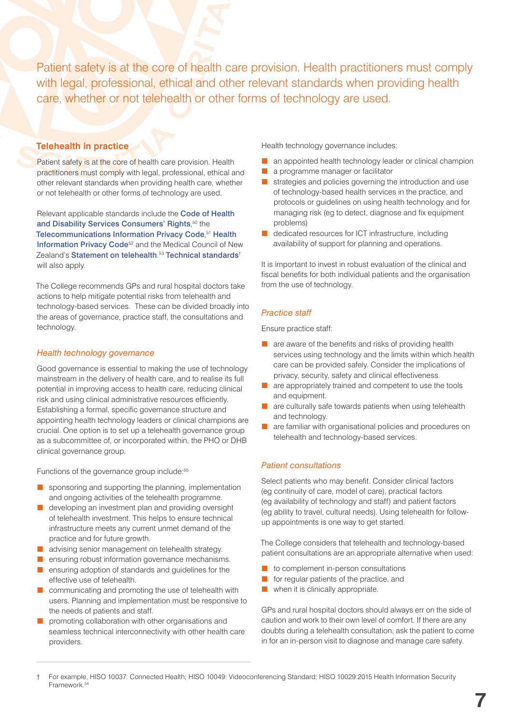Patient safety is at the core of health care provision. Health practitioners must comply with legal, professional, ethical and other relevant standards when providing health care, whether or not telehealth or other forms of technology are used.

# **Telehealth in practice**

Patient safety is at the core of health care provision. Health practitioners must comply with legal, professional, ethical and other relevant standards when providing health care, whether or not telehealth or other forms of technology are used.

Relevant applicable standards include the [Code of Health](http://www.hdc.org.nz/the-act--code/the-code-of-rights)  [and Disability Services Consumers' Rights](http://www.hdc.org.nz/the-act--code/the-code-of-rights),<sup>50</sup> the [Telecommunications Information Privacy Code](http://www.telehealth.co.nz/images/telehealth/standards/82227719.pdf), <sup>51</sup> [Health](https://www.privacy.org.nz/the-privacy-act-and-codes/codes-of-practice/health-information-privacy-code/)  [Information Privacy Code](https://www.privacy.org.nz/the-privacy-act-and-codes/codes-of-practice/health-information-privacy-code/)<sup>52</sup> and the Medical Council of New Zealand's [Statement on telehealth](https://www.mcnz.org.nz/assets/News-and-Publications/Statement-on-telehealthv3.pdf).<sup>53</sup> [Technical standards](http://www.health.govt.nz/our-work/ehealth/digital-health-standards-and-governance/health-information-standards/approved-standards)<sup>+</sup> will also apply.

The College recommends GPs and rural hospital doctors take actions to help mitigate potential risks from telehealth and technology-based services. These can be divided broadly into the areas of governance, practice staff, the consultations and technology.

#### *Health technology governance*

Good governance is essential to making the use of technology mainstream in the delivery of health care, and to realise its full potential in improving access to health care, reducing clinical risk and using clinical administrative resources efficiently. Establishing a formal, specific governance structure and appointing health technology leaders or clinical champions are crucial. One option is to set up a telehealth governance group as a subcommittee of, or incorporated within, the PHO or DHB clinical governance group.

Functions of the governance group include:<sup>55</sup>

- sponsoring and supporting the planning, implementation and ongoing activities of the telehealth programme.
- developing an investment plan and providing oversight of telehealth investment. This helps to ensure technical infrastructure meets any current unmet demand of the practice and for future growth.
- advising senior management on telehealth strategy.
- ensuring robust information governance mechanisms.
- ensuring adoption of standards and guidelines for the effective use of telehealth.
- communicating and promoting the use of telehealth with users. Planning and implementation must be responsive to the needs of patients and staff.
- promoting collaboration with other organisations and seamless technical interconnectivity with other health care providers.

Health technology governance includes:

- an appointed health technology leader or clinical champion
- a programme manager or facilitator
- strategies and policies governing the introduction and use of technology-based health services in the practice, and protocols or guidelines on using health technology and for managing risk (eg to detect, diagnose and fix equipment problems)
- dedicated resources for ICT infrastructure, including availability of support for planning and operations.

It is important to invest in robust evaluation of the clinical and fiscal benefits for both individual patients and the organisation from the use of technology.

#### *Practice staff*

Ensure practice staff:

- are aware of the benefits and risks of providing health services using technology and the limits within which health care can be provided safely. Consider the implications of privacy, security, safety and clinical effectiveness.
- are appropriately trained and competent to use the tools and equipment.
- are culturally safe towards patients when using telehealth and technology.
- are familiar with organisational policies and procedures on telehealth and technology-based services.

#### *Patient consultations*

Select patients who may benefit. Consider clinical factors (eg continuity of care, model of care), practical factors (eg availability of technology and staff) and patient factors (eg ability to travel, cultural needs). Using telehealth for followup appointments is one way to get started.

The College considers that telehealth and technology-based patient consultations are an appropriate alternative when used:

- to complement in-person consultations
- for regular patients of the practice, and
- when it is clinically appropriate.

GPs and rural hospital doctors should always err on the side of caution and work to their own level of comfort. If there are any doubts during a telehealth consultation, ask the patient to come in for an in-person visit to diagnose and manage care safety.

<sup>†</sup> For example, HISO 10037: Connected Health; HISO 10049: Videoconferencing Standard; HISO 10029:2015 Health Information Security Framework.54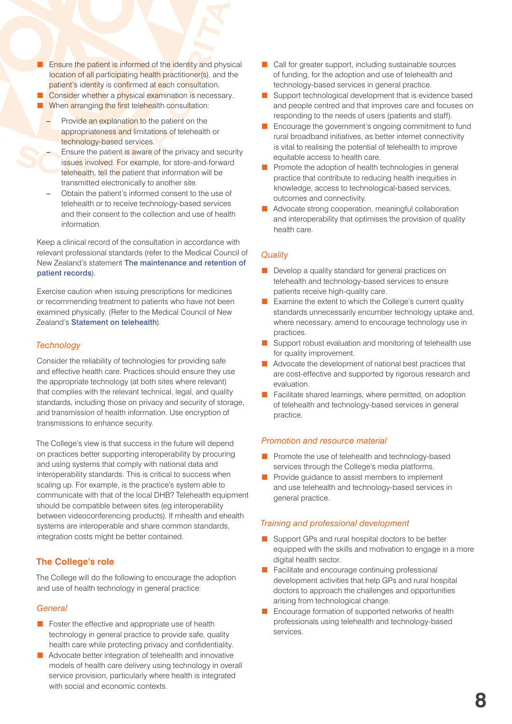- Ensure the patient is informed of the identity and physical location of all participating health practitioner(s), and the patient's identity is confirmed at each consultation.
- Consider whether a physical examination is necessary.
- When arranging the first telehealth consultation:
	- Provide an explanation to the patient on the appropriateness and limitations of telehealth or technology-based services.
	- Ensure the patient is aware of the privacy and security issues involved. For example, for store-and-forward telehealth, tell the patient that information will be transmitted electronically to another site.
	- Obtain the patient's informed consent to the use of telehealth or to receive technology-based services and their consent to the collection and use of health information.

Keep a clinical record of the consultation in accordance with relevant professional standards (refer to the Medical Council of New Zealand's statement [The maintenance and retention of](https://www.mcnz.org.nz/assets/News-and-Publications/Statements/Maintenance-and-retention-of-records.pdf)  [patient records](https://www.mcnz.org.nz/assets/News-and-Publications/Statements/Maintenance-and-retention-of-records.pdf)).

Exercise caution when issuing prescriptions for medicines or recommending treatment to patients who have not been examined physically. (Refer to the Medical Council of New Zealand's [Statement on telehealth](https://www.mcnz.org.nz/assets/News-and-Publications/Statement-on-telehealthv3.pdf)).

#### *Technology*

Consider the reliability of technologies for providing safe and effective health care. Practices should ensure they use the appropriate technology (at both sites where relevant) that complies with the relevant technical, legal, and quality standards, including those on privacy and security of storage, and transmission of health information. Use encryption of transmissions to enhance security.

The College's view is that success in the future will depend on practices better supporting interoperability by procuring and using systems that comply with national data and interoperability standards. This is critical to success when scaling up. For example, is the practice's system able to communicate with that of the local DHB? Telehealth equipment should be compatible between sites (eg interoperability between videoconferencing products). If mhealth and ehealth systems are interoperable and share common standards, integration costs might be better contained.

#### **The College's role**

The College will do the following to encourage the adoption and use of health technology in general practice:

#### *General*

- Foster the effective and appropriate use of health technology in general practice to provide safe, quality health care while protecting privacy and confidentiality.
- Advocate better integration of telehealth and innovative models of health care delivery using technology in overall service provision, particularly where health is integrated with social and economic contexts.
- Call for greater support, including sustainable sources of funding, for the adoption and use of telehealth and technology-based services in general practice.
- Support technological development that is evidence based and people centred and that improves care and focuses on responding to the needs of users (patients and staff).
- Encourage the government's ongoing commitment to fund rural broadband initiatives, as better internet connectivity is vital to realising the potential of telehealth to improve equitable access to health care.
- Promote the adoption of health technologies in general practice that contribute to reducing health inequities in knowledge, access to technological-based services, outcomes and connectivity.
- Advocate strong cooperation, meaningful collaboration and interoperability that optimises the provision of quality health care.

#### *Quality*

- Develop a quality standard for general practices on telehealth and technology-based services to ensure patients receive high-quality care.
- Examine the extent to which the College's current quality standards unnecessarily encumber technology uptake and, where necessary, amend to encourage technology use in practices.
- Support robust evaluation and monitoring of telehealth use for quality improvement.
- Advocate the development of national best practices that are cost-effective and supported by rigorous research and evaluation.
- Facilitate shared learnings, where permitted, on adoption of telehealth and technology-based services in general practice.

#### *Promotion and resource material*

- Promote the use of telehealth and technology-based services through the College's media platforms.
- Provide guidance to assist members to implement and use telehealth and technology-based services in general practice.

#### *Training and professional development*

- Support GPs and rural hospital doctors to be better equipped with the skills and motivation to engage in a more digital health sector.
- Facilitate and encourage continuing professional development activities that help GPs and rural hospital doctors to approach the challenges and opportunities arising from technological change.
- Encourage formation of supported networks of health professionals using telehealth and technology-based services.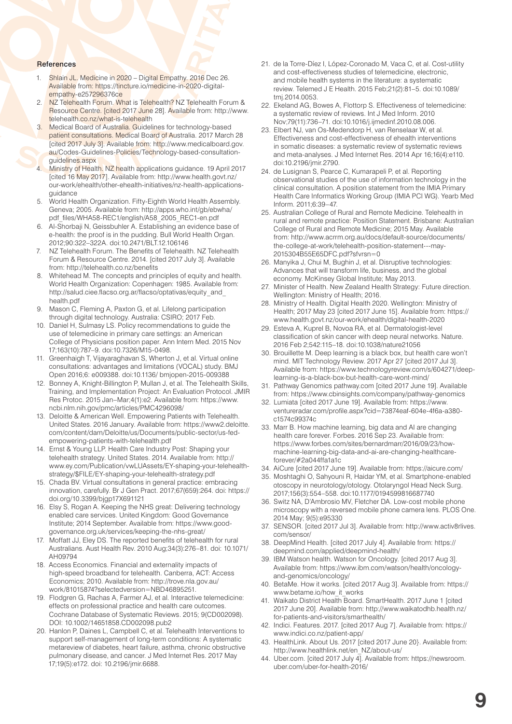#### **References**

- 1. Shlain JL. Medicine in 2020 Digital Empathy. 2016 Dec 26. Available from: [https://tincture.io/medicine-in-2020-digital](https://tincture.io/medicine-in-2020-digital-empathy-e257296376ce)[empathy-e257296376ce](https://tincture.io/medicine-in-2020-digital-empathy-e257296376ce)
- 2. NZ Telehealth Forum. What is Telehealth? NZ Telehealth Forum & Resource Centre. [cited 2017 June 28]. Available from: [http://www.](http://www.telehealth.co.nz/what-is-telehealth) [telehealth.co.nz/what-is-telehealth](http://www.telehealth.co.nz/what-is-telehealth)
- 3. Medical Board of Australia. Guidelines for technology-based patient consultations. Medical Board of Australia. 2017 March 28 [cited 2017 July 3]. Available from: [http://www.medicalboard.gov.](http://www.medicalboard.gov.au/Codes-Guidelines-Policies/Technology-based-consultation-guidelines.aspx) [au/Codes-Guidelines-Policies/Technology-based-consultation](http://www.medicalboard.gov.au/Codes-Guidelines-Policies/Technology-based-consultation-guidelines.aspx)[guidelines.aspx](http://www.medicalboard.gov.au/Codes-Guidelines-Policies/Technology-based-consultation-guidelines.aspx)
- 4. Ministry of Health. NZ health applications guidance. 19 April 2017 [cited 16 May 2017]. Available from: [http://www.health.govt.nz/](http://www.health.govt.nz/our-work/ehealth/other-ehealth-initiatives/nz-health-applications-guidance) [our-work/ehealth/other-ehealth-initiatives/nz-health-applications](http://www.health.govt.nz/our-work/ehealth/other-ehealth-initiatives/nz-health-applications-guidance)[guidance](http://www.health.govt.nz/our-work/ehealth/other-ehealth-initiatives/nz-health-applications-guidance)
- 5. World Health Organization. Fifty-Eighth World Health Assembly. Geneva; 2005. Available from: [http://apps.who.int/gb/ebwha/](http://apps.who.int/gb/ebwha/pdf_files/WHA58-REC1/english/A58_2005_REC1-en.pdf) [pdf\\_files/WHA58-REC1/english/A58\\_2005\\_REC1-en.pdf](http://apps.who.int/gb/ebwha/pdf_files/WHA58-REC1/english/A58_2005_REC1-en.pdf)
- 6. Al-Shorbaji N, Geissbuhler A. Establishing an evidence base of e-health: the proof is in the pudding. Bull World Health Organ. 2012;90:322–322A. doi:10.2471/BLT.12.106146
- 7. NZ Telehealth Forum. The Benefits of Telehealth. NZ Telehealth Forum & Resource Centre. 2014. [cited 2017 July 3]. Available from:<http://telehealth.co.nz/benefits>
- 8. Whitehead M. The concepts and principles of equity and health. World Health Organization: Copenhagen: 1985. Available from: [http://salud.ciee.flacso.org.ar/flacso/optativas/equity\\_and\\_](http://salud.ciee.flacso.org.ar/flacso/optativas/equity_and_health.pdf) [health.pdf](http://salud.ciee.flacso.org.ar/flacso/optativas/equity_and_health.pdf)
- 9. Mason C, Fleming A, Paxton G, et al. Lifelong participation through digital technology. Australia: CSIRO; 2017 Feb.
- 10. Daniel H, Sulmasy LS. Policy recommendations to guide the use of telemedicine in primary care settings: an American College of Physicians position paper. Ann Intern Med. 2015 Nov 17;163(10):787–9. doi:10.7326/M15-0498.
- 11. Greenhaigh T, Vijayaraghavan S, Wherton J, et al. Virtual online consultations: advantages and limitations (VOCAL) study. BMJ Open 2016;6: e009388. doi:10.1136/ bmjopen-2015-009388
- 12. Bonney A, Knight-Billington P, Mullan J, et al. The Telehealth Skills, Training, and Implementation Project: An Evaluation Protocol. JMIR Res Protoc. 2015 Jan–Mar;4(1):e2. Available from: [https://www.](https://www.ncbi.nlm.nih.gov/pmc/articles/PMC4296098/) [ncbi.nlm.nih.gov/pmc/articles/PMC4296098/](https://www.ncbi.nlm.nih.gov/pmc/articles/PMC4296098/)
- 13. Deloitte & American Well. Empowering Patients with Telehealth. United States. 2016 January. Available from: [https://www2.deloitte.](https://www2.deloitte.com/content/dam/Deloitte/us/Documents/public-sector/us-fed-empowering-patients-with-telehealth.pdf) [com/content/dam/Deloitte/us/Documents/public-sector/us-fed](https://www2.deloitte.com/content/dam/Deloitte/us/Documents/public-sector/us-fed-empowering-patients-with-telehealth.pdf)[empowering-patients-with-telehealth.pdf](https://www2.deloitte.com/content/dam/Deloitte/us/Documents/public-sector/us-fed-empowering-patients-with-telehealth.pdf)
- 14. Ernst & Young LLP. Health Care Industry Post: Shaping your telehealth strategy. United States. 2014. Available from: [http://](http://www.ey.com/Publication/vwLUAssets/EY-shaping-your-telehealth-strategy/$FILE/EY-shaping-your-telehealth-strategy.pdf) [www.ey.com/Publication/vwLUAssets/EY-shaping-your-telehealth](http://www.ey.com/Publication/vwLUAssets/EY-shaping-your-telehealth-strategy/$FILE/EY-shaping-your-telehealth-strategy.pdf)[strategy/\\$FILE/EY-shaping-your-telehealth-strategy.pdf](http://www.ey.com/Publication/vwLUAssets/EY-shaping-your-telehealth-strategy/$FILE/EY-shaping-your-telehealth-strategy.pdf)
- 15. Chada BV. Virtual consultations in general practice: embracing innovation, carefully. Br J Gen Pract. 2017;67(659):264. doi: https:// doi.org/10.3399/bjgp17X691121
- 16. Elsy S, Rogan A. Keeping the NHS great: Delivering technology enabled care services. United Kingdom: Good Governance Institute; 2014 September. Available from: [https://www.good](https://www.good-governance.org.uk/services/keeping-the-nhs-great/)[governance.org.uk/services/keeping-the-nhs-great/](https://www.good-governance.org.uk/services/keeping-the-nhs-great/)
- 17. Moffatt JJ, Eley DS. The reported benefits of telehealth for rural Australians. Aust Health Rev. 2010 Aug;34(3):276–81. doi: 10.1071/ AH09794
- 18. Access Economics. Financial and externality impacts of high-speed broadband for telehealth. Canberra, ACT: Access Economics; 2010. Available from: [http://trove.nla.gov.au/](http://trove.nla.gov.au/work/81015874?selectedversion=NBD46895251) [work/81015874?selectedversion=NBD46895251](http://trove.nla.gov.au/work/81015874?selectedversion=NBD46895251).
- 19. Flodgren G, Rachas A, Farmer AJ, et al. Interactive telemedicine: effects on professional practice and health care outcomes. Cochrane Database of Systematic Reviews. 2015; 9(CD002098). DOI: 10.1002/14651858.CD002098.pub2
- 20. Hanlon P, Daines L, Campbell C, et al. Telehealth Interventions to support self-management of long-term conditions: A systematic metareview of diabetes, heart failure, asthma, chronic obstructive pulmonary disease, and cancer. J Med Internet Res. 2017 May 17;19(5):e172. doi: 10.2196/jmir.6688.
- 21. de la Torre-Díez I, López-Coronado M, Vaca C, et al. Cost-utility and cost-effectiveness studies of telemedicine, electronic, and mobile health systems in the literature: a systematic review. Telemed J E Health. 2015 Feb;21(2):81–5. doi:10.1089/ tmj.2014.0053.
- 22. Ekeland AG, Bowes A, Flottorp S. Effectiveness of telemedicine: a systematic review of reviews. Int J Med Inform. 2010 Nov;79(11):736–71. doi:10.1016/j.ijmedinf.2010.08.006.
- 23. Elbert NJ, van Os-Medendorp H, van Renselaar W, et al. Effectiveness and cost-effectiveness of ehealth interventions in somatic diseases: a systematic review of systematic reviews and meta-analyses. J Med Internet Res. 2014 Apr 16;16(4):e110. doi:10.2196/jmir.2790.
- 24. de Lusignan S, Pearce C, Kumarapeli P, et al. Reporting observational studies of the use of information technology in the clinical consultation. A position statement from the IMIA Primary Health Care Informatics Working Group (IMIA PCI WG). Yearb Med Inform. 2011;6:39–47.
- 25. Australian College of Rural and Remote Medicine. Telehealth in rural and remote practice: Position Statement. Brisbane: Australian College of Rural and Remote Medicine; 2015 May. Available from: [http://www.acrrm.org.au/docs/default-source/documents/](http://www.acrrm.org.au/docs/default-source/documents/the-college-at-work/telehealth-position-statement---may-2015304B55E65DFC.pdf?sfvrsn=0) [the-college-at-work/telehealth-position-statement---may-](http://www.acrrm.org.au/docs/default-source/documents/the-college-at-work/telehealth-position-statement---may-2015304B55E65DFC.pdf?sfvrsn=0)[2015304B55E65DFC.pdf?sfvrsn=0](http://www.acrrm.org.au/docs/default-source/documents/the-college-at-work/telehealth-position-statement---may-2015304B55E65DFC.pdf?sfvrsn=0)
- 26. Manyika J, Chui M, Bughin J, et al. Disruptive technologies: Advances that will transform life, business, and the global economy. McKinsey Global Institute; May 2013.
- 27. Minister of Health. New Zealand Health Strategy: Future direction. Wellington: Ministry of Health; 2016.
- 28. Ministry of Health. Digital Health 2020. Wellington: Ministry of Health; 2017 May 23 [cited 2017 June 15]. Available from: [https://](https://www.health.govt.nz/our-work/ehealth/digital-health-2020) [www.health.govt.nz/our-work/ehealth/digital-health-2020](https://www.health.govt.nz/our-work/ehealth/digital-health-2020)
- 29. Esteva A, Kuprel B, Novoa RA, et al. Dermatologist-level classification of skin cancer with deep neural networks. Nature. 2016 Feb 2;542:115–18. doi:10.1038/nature21056
- 30. Brouillette M. Deep learning is a black box, but health care won't mind. MIT Technology Review. 2017 Apr 27 [cited 2017 Jul 3]. Available from: [https://www.technologyreview.com/s/604271/deep](https://www.technologyreview.com/s/604271/deep-learning-is-a-black-box-but-health-care-wont-mind/)[learning-is-a-black-box-but-health-care-wont-mind/](https://www.technologyreview.com/s/604271/deep-learning-is-a-black-box-but-health-care-wont-mind/)
- 31. Pathway Genomics pathway.com [cited 2017 June 19]. Available from: <https://www.cbinsights.com/company/pathway-genomics>
- 32. Lumiata [cited 2017 June 19]. Available from: [https://www.](https://www.ventureradar.com/profile.aspx?cid=73874eaf-604e-4f6a-a380-c1574c99374c) [ventureradar.com/profile.aspx?cid=73874eaf-604e-4f6a-a380](https://www.ventureradar.com/profile.aspx?cid=73874eaf-604e-4f6a-a380-c1574c99374c) [c1574c99374c](https://www.ventureradar.com/profile.aspx?cid=73874eaf-604e-4f6a-a380-c1574c99374c)
- 33. Marr B. How machine learning, big data and AI are changing health care forever. Forbes. 2016 Sep 23. Available from: [https://www.forbes.com/sites/bernardmarr/2016/09/23/how](https://www.forbes.com/sites/bernardmarr/2016/09/23/how-machine-learning-big-data-and-ai-are-changing-healthcare-forever/#2a044ffa1a1c)[machine-learning-big-data-and-ai-are-changing-healthcare](https://www.forbes.com/sites/bernardmarr/2016/09/23/how-machine-learning-big-data-and-ai-are-changing-healthcare-forever/#2a044ffa1a1c)[forever/#2a044ffa1a1c](https://www.forbes.com/sites/bernardmarr/2016/09/23/how-machine-learning-big-data-and-ai-are-changing-healthcare-forever/#2a044ffa1a1c)
- 34. AiCure [cited 2017 June 19]. Available from:<https://aicure.com/>
- 35. Moshtaghi O, Sahyouni R, Haidar YM, et al. Smartphone-enabled otoscopy in neurotology/otology. Otolaryngol Head Neck Surg. 2017;156(3):554–558. doi:10.1177/0194599816687740
- 36. Switz NA, D'Ambrosio MV, Fletcher DA. Low-cost mobile phone microscopy with a reversed mobile phone camera lens. PLOS One. 2014 May; 9(5):e95330
- 37. SENSOR. [cited 2017 Jul 3]. Available from: [http://www.activ8rlives.](http://www.activ8rlives.com/sensor/) [com/sensor/](http://www.activ8rlives.com/sensor/)
- 38. DeepMind Health. [cited 2017 July 4]. Available from: [https://](https://deepmind.com/applied/deepmind-health/) [deepmind.com/applied/deepmind-health/](https://deepmind.com/applied/deepmind-health/)
- 39. IBM Watson health. Watson for Oncology. [cited 2017 Aug 3]. Available from: [https://www.ibm.com/watson/health/oncology](https://www.ibm.com/watson/health/oncology-and-genomics/oncology/)[and-genomics/oncology/](https://www.ibm.com/watson/health/oncology-and-genomics/oncology/)
- 40. BetaMe. How it works. [cited 2017 Aug 3]. Available from: [https://](https://www.betame.io/how_it_works) [www.betame.io/how\\_it\\_works](https://www.betame.io/how_it_works)
- 41. Waikato District Health Board. SmartHealth. 2017 June 1 [cited 2017 June 20]. Available from: [http://www.waikatodhb.health.nz/](http://www.waikatodhb.health.nz/for-patients-and-visitors/smarthealth/) [for-patients-and-visitors/smarthealth/](http://www.waikatodhb.health.nz/for-patients-and-visitors/smarthealth/)
- 42. Indici. Features. 2017. [cited 2017 Aug 7]. Available from: [https://](https://www.indici.co.nz/patient-app/) [www.indici.co.nz/patient-app/](https://www.indici.co.nz/patient-app/)
- 43. HealthLink. About Us. 2017 [cited 2017 June 20}. Available from: [http://www.healthlink.net/en\\_NZ/about-us/](http://www.healthlink.net/en_NZ/about-us/)
- 44. Uber.com. [cited 2017 July 4]. Available from: [https://newsroom.](https://newsroom.uber.com/uber-for-health-2016/) [uber.com/uber-for-health-2016/](https://newsroom.uber.com/uber-for-health-2016/)